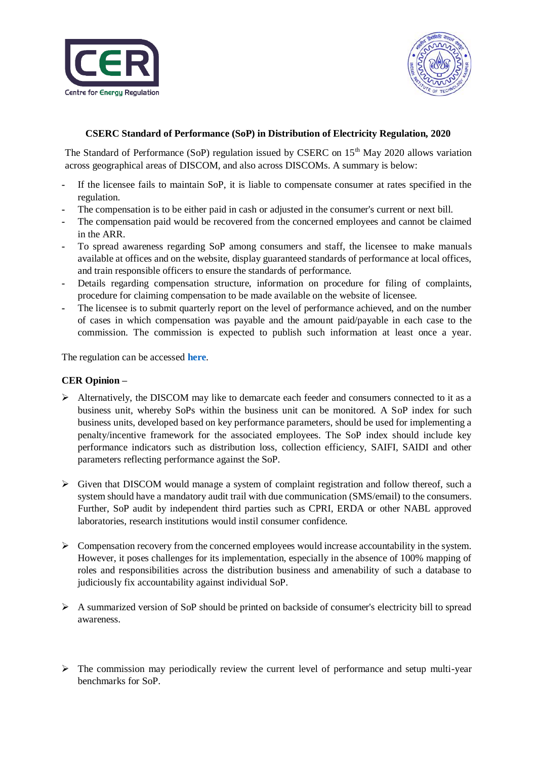



## **CSERC Standard of Performance (SoP) in Distribution of Electricity Regulation, 2020**

The Standard of Performance (SoP) regulation issued by CSERC on  $15<sup>th</sup>$  May 2020 allows variation across geographical areas of DISCOM, and also across DISCOMs. A summary is below:

- **-** If the licensee fails to maintain SoP, it is liable to compensate consumer at rates specified in the regulation.
- **-** The compensation is to be either paid in cash or adjusted in the consumer's current or next bill.
- **-** The compensation paid would be recovered from the concerned employees and cannot be claimed in the ARR.
- **-** To spread awareness regarding SoP among consumers and staff, the licensee to make manuals available at offices and on the website, display guaranteed standards of performance at local offices, and train responsible officers to ensure the standards of performance.
- **-** Details regarding compensation structure, information on procedure for filing of complaints, procedure for claiming compensation to be made available on the website of licensee.
- **-** The licensee is to submit quarterly report on the level of performance achieved, and on the number of cases in which compensation was payable and the amount paid/payable in each case to the commission. The commission is expected to publish such information at least once a year.

The regulation can be accessed **[here](http://www.cserc.gov.in/pdf/Regulations_Notified/86_CSERC(Standards%20of%20Performance%20in%20Distribution%20of%20Electricity)%20Regulations,%202020_English.pdf)**.

## **CER Opinion –**

- Alternatively, the DISCOM may like to demarcate each feeder and consumers connected to it as a business unit, whereby SoPs within the business unit can be monitored. A SoP index for such business units, developed based on key performance parameters, should be used for implementing a penalty/incentive framework for the associated employees. The SoP index should include key performance indicators such as distribution loss, collection efficiency, SAIFI, SAIDI and other parameters reflecting performance against the SoP.
- $\triangleright$  Given that DISCOM would manage a system of complaint registration and follow thereof, such a system should have a mandatory audit trail with due communication (SMS/email) to the consumers. Further, SoP audit by independent third parties such as CPRI, ERDA or other NABL approved laboratories, research institutions would instil consumer confidence.
- $\triangleright$  Compensation recovery from the concerned employees would increase accountability in the system. However, it poses challenges for its implementation, especially in the absence of 100% mapping of roles and responsibilities across the distribution business and amenability of such a database to judiciously fix accountability against individual SoP.
- $\triangleright$  A summarized version of SoP should be printed on backside of consumer's electricity bill to spread awareness.
- $\triangleright$  The commission may periodically review the current level of performance and setup multi-year benchmarks for SoP.